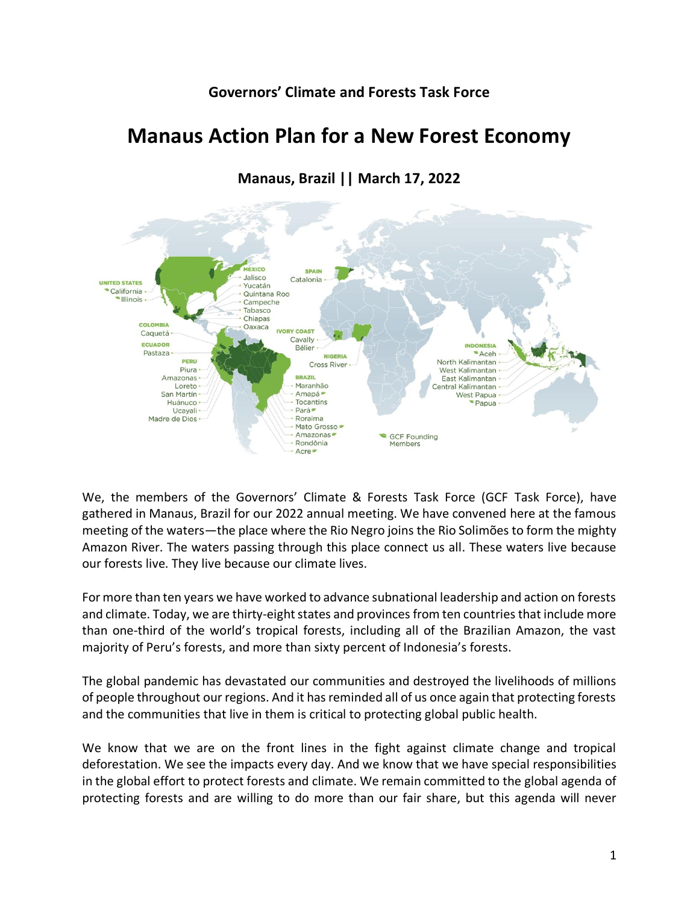# **Governors' Climate and Forests Task Force**

# **Manaus Action Plan for a New Forest Economy**



**Manaus, Brazil || March 17, 2022**

We, the members of the Governors' Climate & Forests Task Force (GCF Task Force), have gathered in Manaus, Brazil for our 2022 annual meeting. We have convened here at the famous meeting of the waters—the place where the Rio Negro joins the Rio Solimões to form the mighty Amazon River. The waters passing through this place connect us all. These waters live because our forests live. They live because our climate lives.

For more than ten years we have worked to advance subnational leadership and action on forests and climate. Today, we are thirty-eight states and provinces from ten countries that include more than one-third of the world's tropical forests, including all of the Brazilian Amazon, the vast majority of Peru's forests, and more than sixty percent of Indonesia's forests.

The global pandemic has devastated our communities and destroyed the livelihoods of millions of people throughout our regions. And it has reminded all of us once again that protecting forests and the communities that live in them is critical to protecting global public health.

We know that we are on the front lines in the fight against climate change and tropical deforestation. We see the impacts every day. And we know that we have special responsibilities in the global effort to protect forests and climate. We remain committed to the global agenda of protecting forests and are willing to do more than our fair share, but this agenda will never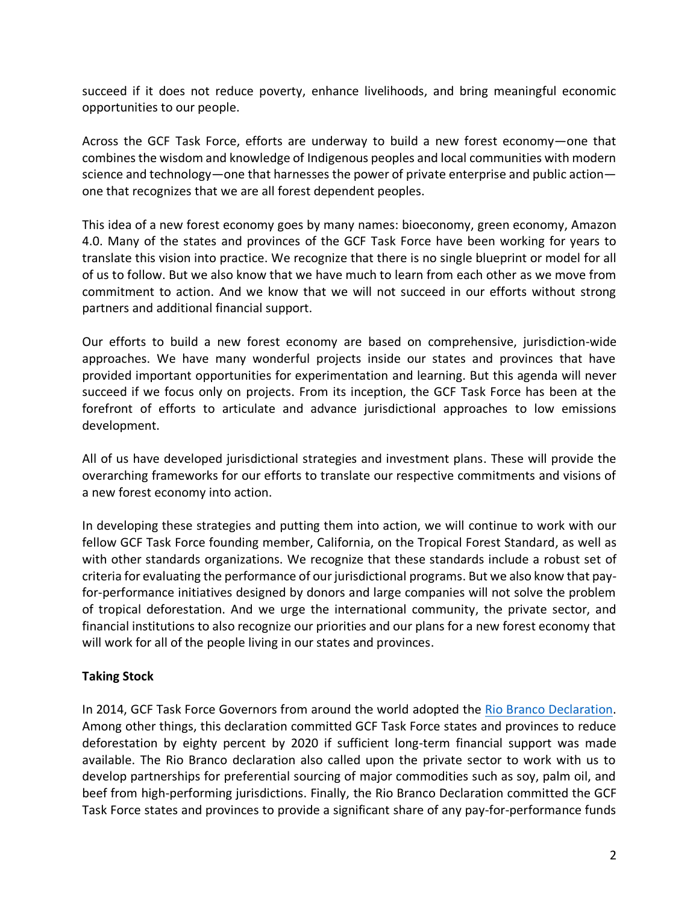succeed if it does not reduce poverty, enhance livelihoods, and bring meaningful economic opportunities to our people.

Across the GCF Task Force, efforts are underway to build a new forest economy—one that combines the wisdom and knowledge of Indigenous peoples and local communities with modern science and technology—one that harnesses the power of private enterprise and public action one that recognizes that we are all forest dependent peoples.

This idea of a new forest economy goes by many names: bioeconomy, green economy, Amazon 4.0. Many of the states and provinces of the GCF Task Force have been working for years to translate this vision into practice. We recognize that there is no single blueprint or model for all of us to follow. But we also know that we have much to learn from each other as we move from commitment to action. And we know that we will not succeed in our efforts without strong partners and additional financial support.

Our efforts to build a new forest economy are based on comprehensive, jurisdiction-wide approaches. We have many wonderful projects inside our states and provinces that have provided important opportunities for experimentation and learning. But this agenda will never succeed if we focus only on projects. From its inception, the GCF Task Force has been at the forefront of efforts to articulate and advance jurisdictional approaches to low emissions development.

All of us have developed jurisdictional strategies and investment plans. These will provide the overarching frameworks for our efforts to translate our respective commitments and visions of a new forest economy into action.

In developing these strategies and putting them into action, we will continue to work with our fellow GCF Task Force founding member, California, on the Tropical Forest Standard, as well as with other standards organizations. We recognize that these standards include a robust set of criteria for evaluating the performance of our jurisdictional programs. But we also know that payfor-performance initiatives designed by donors and large companies will not solve the problem of tropical deforestation. And we urge the international community, the private sector, and financial institutions to also recognize our priorities and our plans for a new forest economy that will work for all of the people living in our states and provinces.

# **Taking Stock**

In 2014, GCF Task Force Governors from around the world adopted the [Rio Branco Declaration.](https://www.gcftf.org/wp-content/uploads/2020/12/Rio_Branco_Declaration_ENG.pdf) Among other things, this declaration committed GCF Task Force states and provinces to reduce deforestation by eighty percent by 2020 if sufficient long-term financial support was made available. The Rio Branco declaration also called upon the private sector to work with us to develop partnerships for preferential sourcing of major commodities such as soy, palm oil, and beef from high-performing jurisdictions. Finally, the Rio Branco Declaration committed the GCF Task Force states and provinces to provide a significant share of any pay-for-performance funds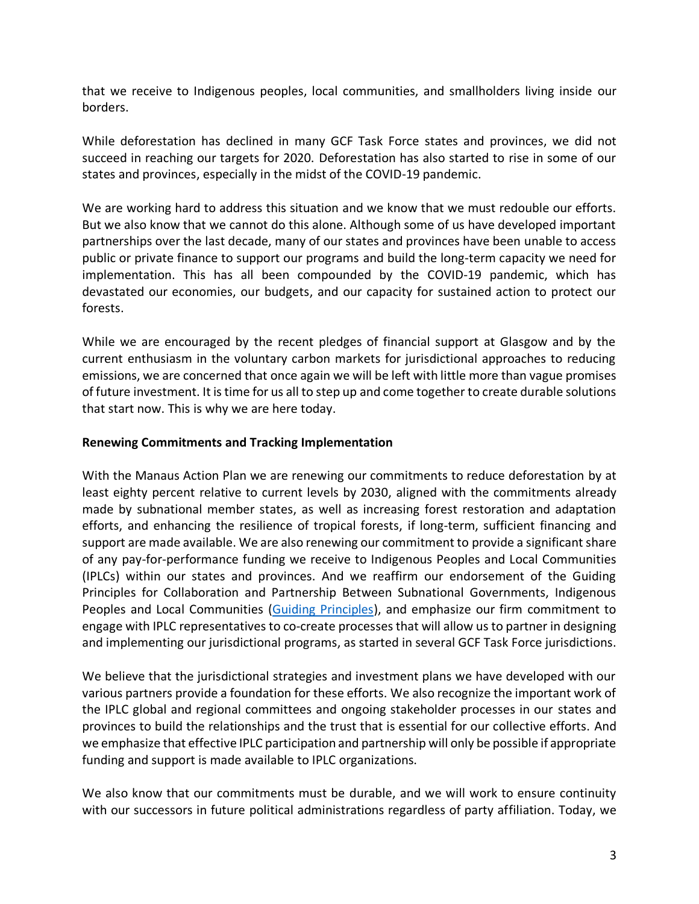that we receive to Indigenous peoples, local communities, and smallholders living inside our borders.

While deforestation has declined in many GCF Task Force states and provinces, we did not succeed in reaching our targets for 2020. Deforestation has also started to rise in some of our states and provinces, especially in the midst of the COVID-19 pandemic.

We are working hard to address this situation and we know that we must redouble our efforts. But we also know that we cannot do this alone. Although some of us have developed important partnerships over the last decade, many of our states and provinces have been unable to access public or private finance to support our programs and build the long-term capacity we need for implementation. This has all been compounded by the COVID-19 pandemic, which has devastated our economies, our budgets, and our capacity for sustained action to protect our forests.

While we are encouraged by the recent pledges of financial support at Glasgow and by the current enthusiasm in the voluntary carbon markets for jurisdictional approaches to reducing emissions, we are concerned that once again we will be left with little more than vague promises of future investment. It is time for us all to step up and come together to create durable solutions that start now. This is why we are here today.

#### **Renewing Commitments and Tracking Implementation**

With the Manaus Action Plan we are renewing our commitments to reduce deforestation by at least eighty percent relative to current levels by 2030, aligned with the commitments already made by subnational member states, as well as increasing forest restoration and adaptation efforts, and enhancing the resilience of tropical forests, if long-term, sufficient financing and support are made available. We are also renewing our commitment to provide a significant share of any pay-for-performance funding we receive to Indigenous Peoples and Local Communities (IPLCs) within our states and provinces. And we reaffirm our endorsement of the Guiding Principles for Collaboration and Partnership Between Subnational Governments, Indigenous Peoples and Local Communities [\(Guiding Principles\)](https://www.gcftf.org/wp-content/uploads/2020/12/Guiding_Principles_ENG.pdf), and emphasize our firm commitment to engage with IPLC representatives to co-create processes that will allow us to partner in designing and implementing our jurisdictional programs, as started in several GCF Task Force jurisdictions.

We believe that the jurisdictional strategies and investment plans we have developed with our various partners provide a foundation for these efforts. We also recognize the important work of the IPLC global and regional committees and ongoing stakeholder processes in our states and provinces to build the relationships and the trust that is essential for our collective efforts. And we emphasize that effective IPLC participation and partnership will only be possible if appropriate funding and support is made available to IPLC organizations.

We also know that our commitments must be durable, and we will work to ensure continuity with our successors in future political administrations regardless of party affiliation. Today, we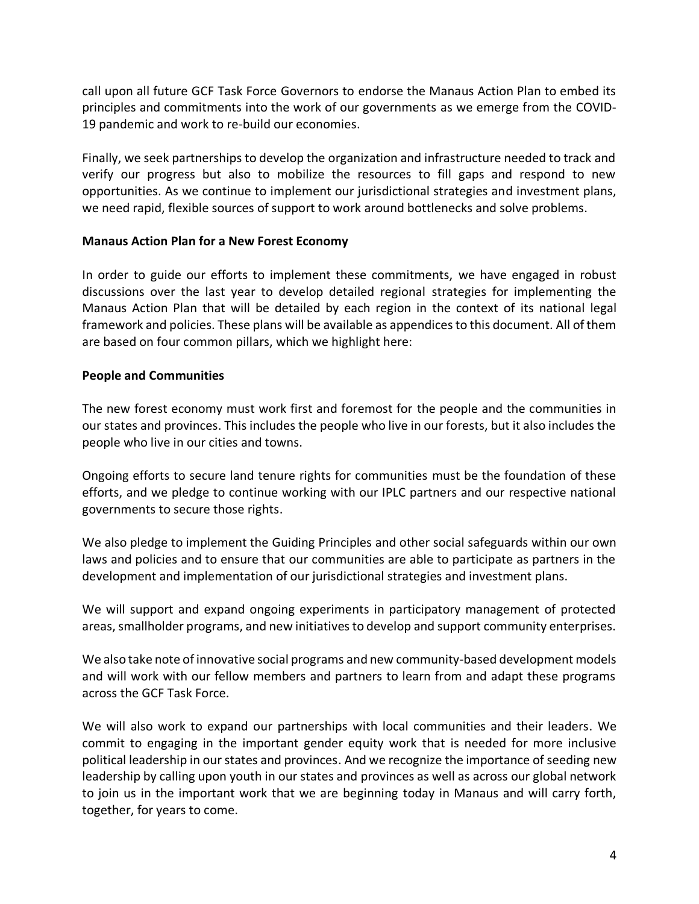call upon all future GCF Task Force Governors to endorse the Manaus Action Plan to embed its principles and commitments into the work of our governments as we emerge from the COVID-19 pandemic and work to re-build our economies.

Finally, we seek partnerships to develop the organization and infrastructure needed to track and verify our progress but also to mobilize the resources to fill gaps and respond to new opportunities. As we continue to implement our jurisdictional strategies and investment plans, we need rapid, flexible sources of support to work around bottlenecks and solve problems.

# **Manaus Action Plan for a New Forest Economy**

In order to guide our efforts to implement these commitments, we have engaged in robust discussions over the last year to develop detailed regional strategies for implementing the Manaus Action Plan that will be detailed by each region in the context of its national legal framework and policies. These plans will be available as appendices to this document. All of them are based on four common pillars, which we highlight here:

# **People and Communities**

The new forest economy must work first and foremost for the people and the communities in our states and provinces. This includes the people who live in our forests, but it also includes the people who live in our cities and towns.

Ongoing efforts to secure land tenure rights for communities must be the foundation of these efforts, and we pledge to continue working with our IPLC partners and our respective national governments to secure those rights.

We also pledge to implement the Guiding Principles and other social safeguards within our own laws and policies and to ensure that our communities are able to participate as partners in the development and implementation of our jurisdictional strategies and investment plans.

We will support and expand ongoing experiments in participatory management of protected areas, smallholder programs, and new initiatives to develop and support community enterprises.

We also take note of innovative social programs and new community-based development models and will work with our fellow members and partners to learn from and adapt these programs across the GCF Task Force.

We will also work to expand our partnerships with local communities and their leaders. We commit to engaging in the important gender equity work that is needed for more inclusive political leadership in our states and provinces. And we recognize the importance of seeding new leadership by calling upon youth in our states and provinces as well as across our global network to join us in the important work that we are beginning today in Manaus and will carry forth, together, for years to come.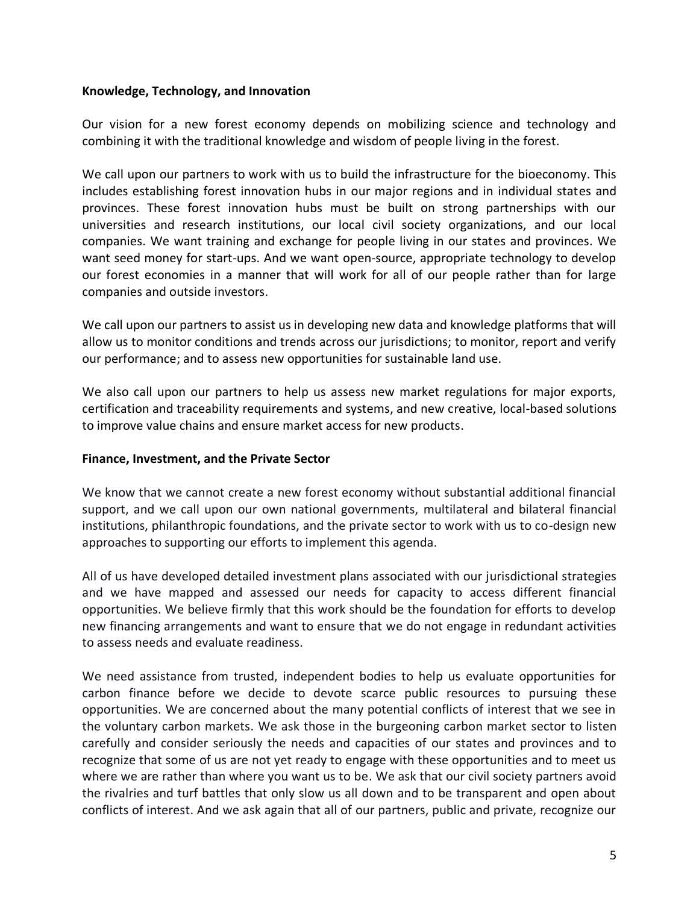#### **Knowledge, Technology, and Innovation**

Our vision for a new forest economy depends on mobilizing science and technology and combining it with the traditional knowledge and wisdom of people living in the forest.

We call upon our partners to work with us to build the infrastructure for the bioeconomy. This includes establishing forest innovation hubs in our major regions and in individual states and provinces. These forest innovation hubs must be built on strong partnerships with our universities and research institutions, our local civil society organizations, and our local companies. We want training and exchange for people living in our states and provinces. We want seed money for start-ups. And we want open-source, appropriate technology to develop our forest economies in a manner that will work for all of our people rather than for large companies and outside investors.

We call upon our partners to assist us in developing new data and knowledge platforms that will allow us to monitor conditions and trends across our jurisdictions; to monitor, report and verify our performance; and to assess new opportunities for sustainable land use.

We also call upon our partners to help us assess new market regulations for major exports, certification and traceability requirements and systems, and new creative, local-based solutions to improve value chains and ensure market access for new products.

#### **Finance, Investment, and the Private Sector**

We know that we cannot create a new forest economy without substantial additional financial support, and we call upon our own national governments, multilateral and bilateral financial institutions, philanthropic foundations, and the private sector to work with us to co-design new approaches to supporting our efforts to implement this agenda.

All of us have developed detailed investment plans associated with our jurisdictional strategies and we have mapped and assessed our needs for capacity to access different financial opportunities. We believe firmly that this work should be the foundation for efforts to develop new financing arrangements and want to ensure that we do not engage in redundant activities to assess needs and evaluate readiness.

We need assistance from trusted, independent bodies to help us evaluate opportunities for carbon finance before we decide to devote scarce public resources to pursuing these opportunities. We are concerned about the many potential conflicts of interest that we see in the voluntary carbon markets. We ask those in the burgeoning carbon market sector to listen carefully and consider seriously the needs and capacities of our states and provinces and to recognize that some of us are not yet ready to engage with these opportunities and to meet us where we are rather than where you want us to be. We ask that our civil society partners avoid the rivalries and turf battles that only slow us all down and to be transparent and open about conflicts of interest. And we ask again that all of our partners, public and private, recognize our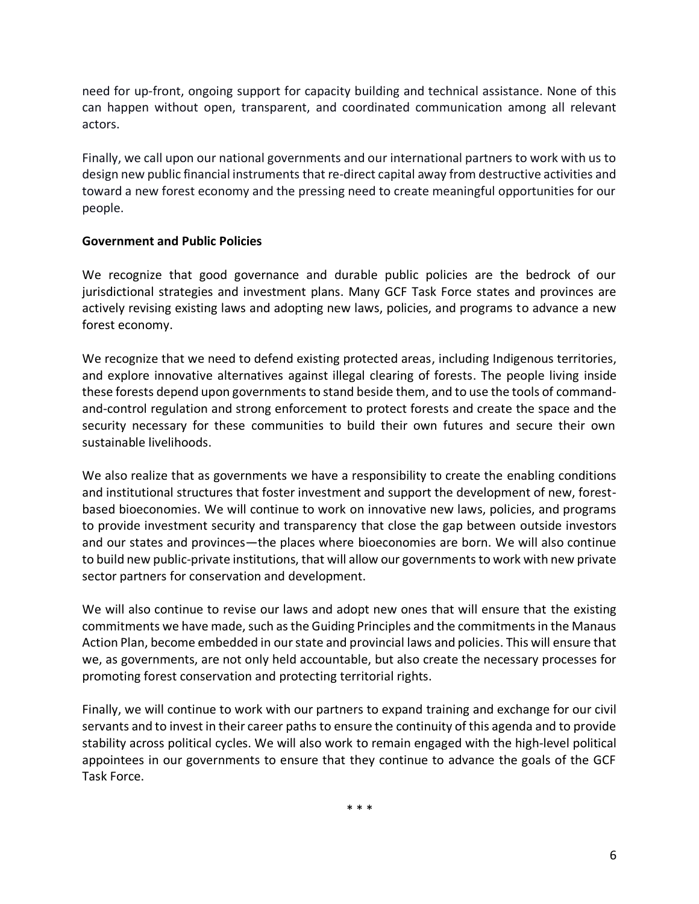need for up-front, ongoing support for capacity building and technical assistance. None of this can happen without open, transparent, and coordinated communication among all relevant actors.

Finally, we call upon our national governments and our international partners to work with us to design new public financial instruments that re-direct capital away from destructive activities and toward a new forest economy and the pressing need to create meaningful opportunities for our people.

# **Government and Public Policies**

We recognize that good governance and durable public policies are the bedrock of our jurisdictional strategies and investment plans. Many GCF Task Force states and provinces are actively revising existing laws and adopting new laws, policies, and programs to advance a new forest economy.

We recognize that we need to defend existing protected areas, including Indigenous territories, and explore innovative alternatives against illegal clearing of forests. The people living inside these forests depend upon governments to stand beside them, and to use the tools of commandand-control regulation and strong enforcement to protect forests and create the space and the security necessary for these communities to build their own futures and secure their own sustainable livelihoods.

We also realize that as governments we have a responsibility to create the enabling conditions and institutional structures that foster investment and support the development of new, forestbased bioeconomies. We will continue to work on innovative new laws, policies, and programs to provide investment security and transparency that close the gap between outside investors and our states and provinces—the places where bioeconomies are born. We will also continue to build new public-private institutions, that will allow our governments to work with new private sector partners for conservation and development.

We will also continue to revise our laws and adopt new ones that will ensure that the existing commitments we have made, such asthe Guiding Principles and the commitments in the Manaus Action Plan, become embedded in our state and provincial laws and policies. This will ensure that we, as governments, are not only held accountable, but also create the necessary processes for promoting forest conservation and protecting territorial rights.

Finally, we will continue to work with our partners to expand training and exchange for our civil servants and to invest in their career paths to ensure the continuity of this agenda and to provide stability across political cycles. We will also work to remain engaged with the high-level political appointees in our governments to ensure that they continue to advance the goals of the GCF Task Force.

\* \* \*